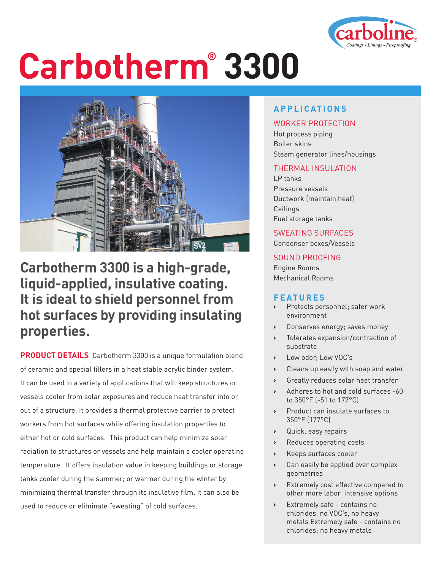

# **Carbotherm® 3300**



### **Carbotherm 3300 is a high-grade, liquid-applied, insulative coating. It is ideal to shield personnel from hot surfaces by providing insulating properties.**

**PRODUCT DETAILS** Carbotherm 3300 is a unique formulation blend of ceramic and special fillers in a heat stable acrylic binder system. It can be used in a variety of applications that will keep structures or vessels cooler from solar exposures and reduce heat transfer into or out of a structure. It provides a thermal protective barrier to protect workers from hot surfaces while offering insulation properties to either hot or cold surfaces. This product can help minimize solar radiation to structures or vessels and help maintain a cooler operating temperature. It offers insulation value in keeping buildings or storage tanks cooler during the summer; or warmer during the winter by minimizing thermal transfer through its insulative film. It can also be used to reduce or eliminate "sweating" of cold surfaces.

#### **APPLICATIONS**

#### WORKER PROTECTION

Hot process piping Boiler skins Steam generator lines/housings

#### THERMAL INSULATION

LP tanks Pressure vessels Ductwork (maintain heat) Ceilings Fuel storage tanks

#### SWEATING SURFACES

Condenser boxes/Vessels

#### SOUND PROOFING

Engine Rooms Mechanical Rooms

#### **FEATURES**

- **›** Protects personnel; safer work environment
- **›** Conserves energy; saves money
- **›** Tolerates expansion/contraction of substrate
- **›** Low odor; Low VOC's
- **›** Cleans up easily with soap and water
- **›** Greatly reduces solar heat transfer
- **›** Adheres to hot and cold surfaces -60 to 350°F (-51 to 177°C)
- **›** Product can insulate surfaces to 350°F (177°C)
- **›** Quick, easy repairs
- **›** Reduces operating costs
- **›** Keeps surfaces cooler
- **›** Can easily be applied over complex geometries
- **›** Extremely cost effective compared to other more labor intensive options
- **›** Extremely safe contains no chlorides, no VOC's, no heavy metals Extremely safe - contains no chlorides; no heavy metals